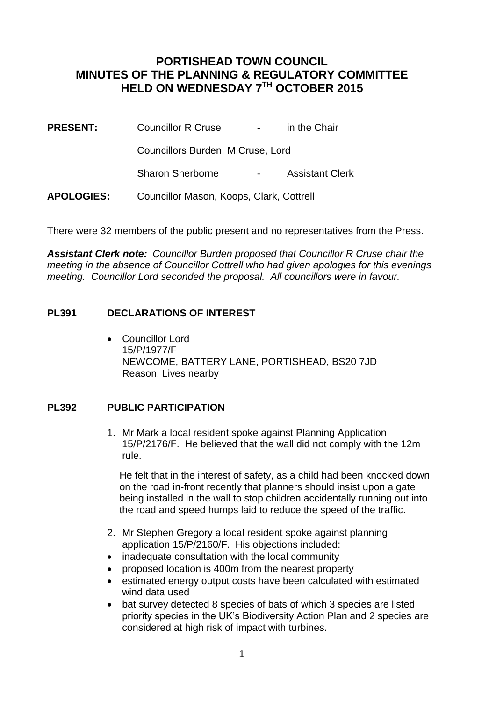## **PORTISHEAD TOWN COUNCIL MINUTES OF THE PLANNING & REGULATORY COMMITTEE HELD ON WEDNESDAY 7TH OCTOBER 2015**

**PRESENT:** Councillor R Cruse - in the Chair

Councillors Burden, M.Cruse, Lord

Sharon Sherborne - Assistant Clerk

**APOLOGIES:** Councillor Mason, Koops, Clark, Cottrell

There were 32 members of the public present and no representatives from the Press.

*Assistant Clerk note: Councillor Burden proposed that Councillor R Cruse chair the meeting in the absence of Councillor Cottrell who had given apologies for this evenings meeting. Councillor Lord seconded the proposal. All councillors were in favour.*

## **PL391 DECLARATIONS OF INTEREST**

 Councillor Lord 15/P/1977/F NEWCOME, BATTERY LANE, PORTISHEAD, BS20 7JD Reason: Lives nearby

## **PL392 PUBLIC PARTICIPATION**

1. Mr Mark a local resident spoke against Planning Application 15/P/2176/F. He believed that the wall did not comply with the 12m rule.

 He felt that in the interest of safety, as a child had been knocked down on the road in-front recently that planners should insist upon a gate being installed in the wall to stop children accidentally running out into the road and speed humps laid to reduce the speed of the traffic.

- 2. Mr Stephen Gregory a local resident spoke against planning application 15/P/2160/F. His objections included:
- inadequate consultation with the local community
- proposed location is 400m from the nearest property
- estimated energy output costs have been calculated with estimated wind data used
- bat survey detected 8 species of bats of which 3 species are listed priority species in the UK's Biodiversity Action Plan and 2 species are considered at high risk of impact with turbines.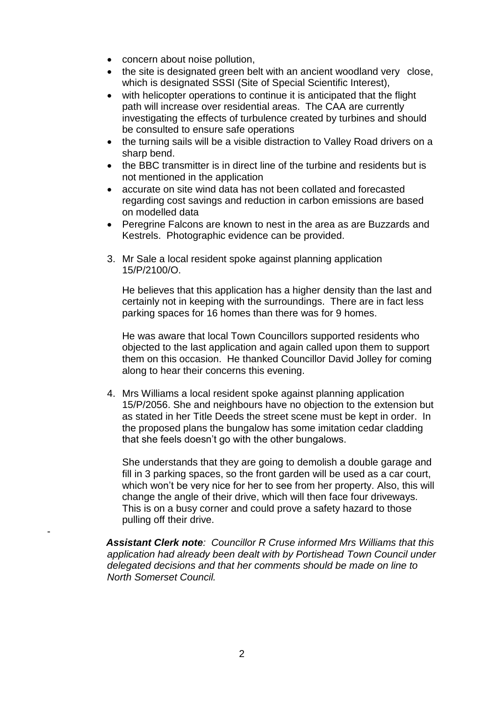- concern about noise pollution,
- the site is designated green belt with an ancient woodland very close, which is designated SSSI (Site of Special Scientific Interest),
- with helicopter operations to continue it is anticipated that the flight path will increase over residential areas. The CAA are currently investigating the effects of turbulence created by turbines and should be consulted to ensure safe operations
- the turning sails will be a visible distraction to Valley Road drivers on a sharp bend.
- the BBC transmitter is in direct line of the turbine and residents but is not mentioned in the application
- accurate on site wind data has not been collated and forecasted regarding cost savings and reduction in carbon emissions are based on modelled data
- Peregrine Falcons are known to nest in the area as are Buzzards and Kestrels. Photographic evidence can be provided.
- 3. Mr Sale a local resident spoke against planning application 15/P/2100/O.

He believes that this application has a higher density than the last and certainly not in keeping with the surroundings. There are in fact less parking spaces for 16 homes than there was for 9 homes.

He was aware that local Town Councillors supported residents who objected to the last application and again called upon them to support them on this occasion. He thanked Councillor David Jolley for coming along to hear their concerns this evening.

4. Mrs Williams a local resident spoke against planning application 15/P/2056. She and neighbours have no objection to the extension but as stated in her Title Deeds the street scene must be kept in order. In the proposed plans the bungalow has some imitation cedar cladding that she feels doesn't go with the other bungalows.

She understands that they are going to demolish a double garage and fill in 3 parking spaces, so the front garden will be used as a car court, which won't be very nice for her to see from her property. Also, this will change the angle of their drive, which will then face four driveways. This is on a busy corner and could prove a safety hazard to those pulling off their drive.

*Assistant Clerk note: Councillor R Cruse informed Mrs Williams that this application had already been dealt with by Portishead Town Council under delegated decisions and that her comments should be made on line to North Somerset Council.*

-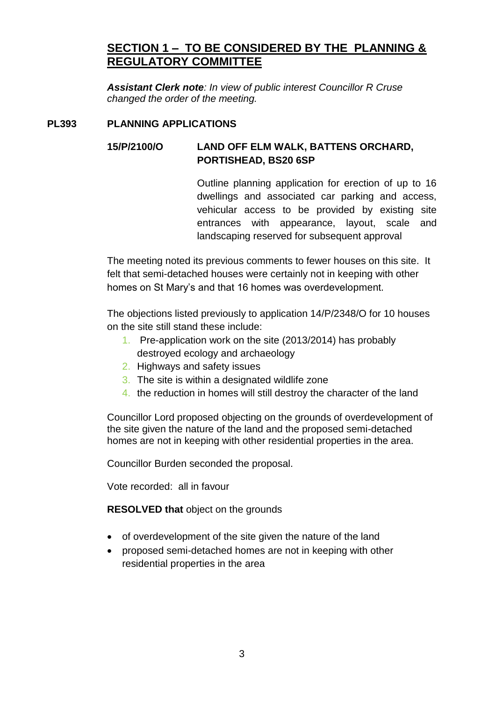# **SECTION 1 – TO BE CONSIDERED BY THE PLANNING & REGULATORY COMMITTEE**

*Assistant Clerk note: In view of public interest Councillor R Cruse changed the order of the meeting.*

## **PL393 PLANNING APPLICATIONS**

## **15/P/2100/O LAND OFF ELM WALK, BATTENS ORCHARD, PORTISHEAD, BS20 6SP**

Outline planning application for erection of up to 16 dwellings and associated car parking and access, vehicular access to be provided by existing site entrances with appearance, layout, scale and landscaping reserved for subsequent approval

The meeting noted its previous comments to fewer houses on this site. It felt that semi-detached houses were certainly not in keeping with other homes on St Mary's and that 16 homes was overdevelopment.

The objections listed previously to application 14/P/2348/O for 10 houses on the site still stand these include:

- 1. Pre-application work on the site (2013/2014) has probably destroyed ecology and archaeology
- 2. Highways and safety issues
- 3. The site is within a designated wildlife zone
- 4. the reduction in homes will still destroy the character of the land

Councillor Lord proposed objecting on the grounds of overdevelopment of the site given the nature of the land and the proposed semi-detached homes are not in keeping with other residential properties in the area.

Councillor Burden seconded the proposal.

Vote recorded: all in favour

**RESOLVED that** object on the grounds

- of overdevelopment of the site given the nature of the land
- proposed semi-detached homes are not in keeping with other residential properties in the area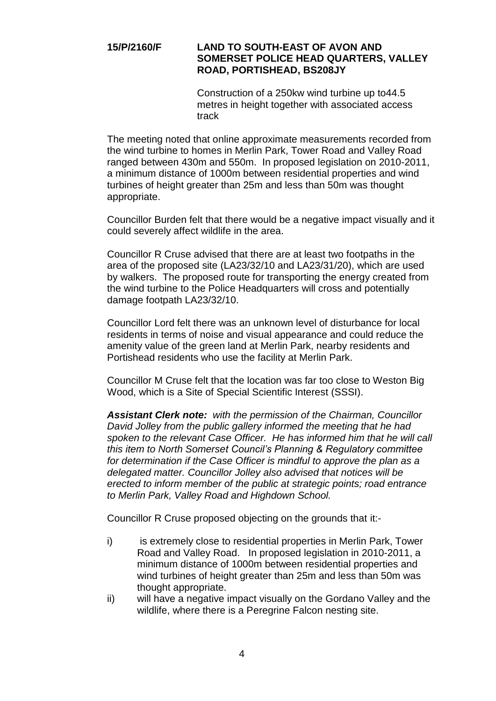## **15/P/2160/F LAND TO SOUTH-EAST OF AVON AND SOMERSET POLICE HEAD QUARTERS, VALLEY ROAD, PORTISHEAD, BS208JY**

Construction of a 250kw wind turbine up to44.5 metres in height together with associated access track

The meeting noted that online approximate measurements recorded from the wind turbine to homes in Merlin Park, Tower Road and Valley Road ranged between 430m and 550m. In proposed legislation on 2010-2011, a minimum distance of 1000m between residential properties and wind turbines of height greater than 25m and less than 50m was thought appropriate.

Councillor Burden felt that there would be a negative impact visually and it could severely affect wildlife in the area.

Councillor R Cruse advised that there are at least two footpaths in the area of the proposed site (LA23/32/10 and LA23/31/20), which are used by walkers. The proposed route for transporting the energy created from the wind turbine to the Police Headquarters will cross and potentially damage footpath LA23/32/10.

Councillor Lord felt there was an unknown level of disturbance for local residents in terms of noise and visual appearance and could reduce the amenity value of the green land at Merlin Park, nearby residents and Portishead residents who use the facility at Merlin Park.

Councillor M Cruse felt that the location was far too close to Weston Big Wood, which is a Site of Special Scientific Interest (SSSI).

*Assistant Clerk note: with the permission of the Chairman, Councillor David Jolley from the public gallery informed the meeting that he had spoken to the relevant Case Officer. He has informed him that he will call this item to North Somerset Council's Planning & Regulatory committee*  for determination if the Case Officer is mindful to approve the plan as a *delegated matter. Councillor Jolley also advised that notices will be erected to inform member of the public at strategic points; road entrance to Merlin Park, Valley Road and Highdown School.* 

Councillor R Cruse proposed objecting on the grounds that it:-

- i) is extremely close to residential properties in Merlin Park, Tower Road and Valley Road. In proposed legislation in 2010-2011, a minimum distance of 1000m between residential properties and wind turbines of height greater than 25m and less than 50m was thought appropriate.
- ii) will have a negative impact visually on the Gordano Valley and the wildlife, where there is a Peregrine Falcon nesting site.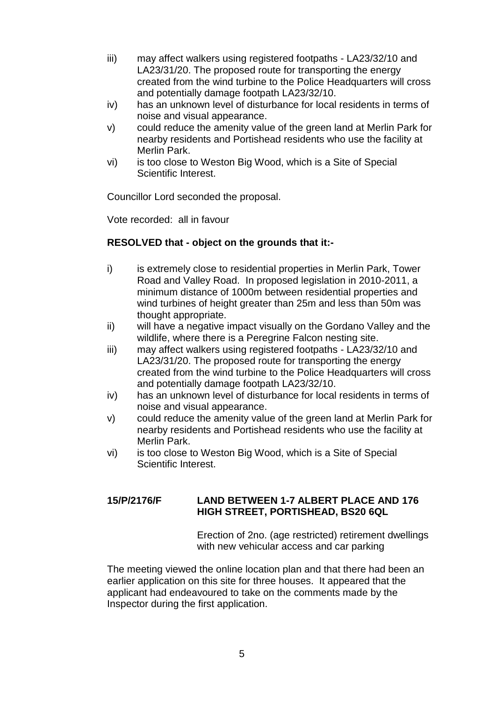- iii) may affect walkers using registered footpaths LA23/32/10 and LA23/31/20. The proposed route for transporting the energy created from the wind turbine to the Police Headquarters will cross and potentially damage footpath LA23/32/10.
- iv) has an unknown level of disturbance for local residents in terms of noise and visual appearance.
- v) could reduce the amenity value of the green land at Merlin Park for nearby residents and Portishead residents who use the facility at Merlin Park.
- vi) is too close to Weston Big Wood, which is a Site of Special Scientific Interest.

Councillor Lord seconded the proposal.

Vote recorded: all in favour

## **RESOLVED that - object on the grounds that it:-**

- i) is extremely close to residential properties in Merlin Park, Tower Road and Valley Road. In proposed legislation in 2010-2011, a minimum distance of 1000m between residential properties and wind turbines of height greater than 25m and less than 50m was thought appropriate.
- ii) will have a negative impact visually on the Gordano Valley and the wildlife, where there is a Peregrine Falcon nesting site.
- iii) may affect walkers using registered footpaths LA23/32/10 and LA23/31/20. The proposed route for transporting the energy created from the wind turbine to the Police Headquarters will cross and potentially damage footpath LA23/32/10.
- iv) has an unknown level of disturbance for local residents in terms of noise and visual appearance.
- v) could reduce the amenity value of the green land at Merlin Park for nearby residents and Portishead residents who use the facility at Merlin Park.
- vi) is too close to Weston Big Wood, which is a Site of Special Scientific Interest.

## **15/P/2176/F LAND BETWEEN 1-7 ALBERT PLACE AND 176 HIGH STREET, PORTISHEAD, BS20 6QL**

Erection of 2no. (age restricted) retirement dwellings with new vehicular access and car parking

The meeting viewed the online location plan and that there had been an earlier application on this site for three houses. It appeared that the applicant had endeavoured to take on the comments made by the Inspector during the first application.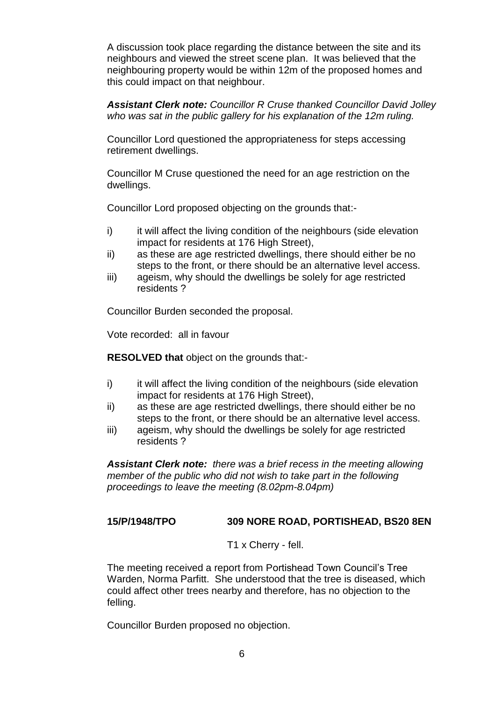A discussion took place regarding the distance between the site and its neighbours and viewed the street scene plan. It was believed that the neighbouring property would be within 12m of the proposed homes and this could impact on that neighbour.

*Assistant Clerk note: Councillor R Cruse thanked Councillor David Jolley who was sat in the public gallery for his explanation of the 12m ruling.*

Councillor Lord questioned the appropriateness for steps accessing retirement dwellings.

Councillor M Cruse questioned the need for an age restriction on the dwellings.

Councillor Lord proposed objecting on the grounds that:-

- i) it will affect the living condition of the neighbours (side elevation impact for residents at 176 High Street),
- ii) as these are age restricted dwellings, there should either be no steps to the front, or there should be an alternative level access.
- iii) ageism, why should the dwellings be solely for age restricted residents ?

Councillor Burden seconded the proposal.

Vote recorded: all in favour

**RESOLVED that** object on the grounds that:-

- i) it will affect the living condition of the neighbours (side elevation impact for residents at 176 High Street),
- ii) as these are age restricted dwellings, there should either be no steps to the front, or there should be an alternative level access.
- iii) ageism, why should the dwellings be solely for age restricted residents ?

*Assistant Clerk note: there was a brief recess in the meeting allowing member of the public who did not wish to take part in the following proceedings to leave the meeting (8.02pm-8.04pm)*

### **15/P/1948/TPO 309 NORE ROAD, PORTISHEAD, BS20 8EN**

T1 x Cherry - fell.

The meeting received a report from Portishead Town Council's Tree Warden, Norma Parfitt. She understood that the tree is diseased, which could affect other trees nearby and therefore, has no objection to the felling.

Councillor Burden proposed no objection.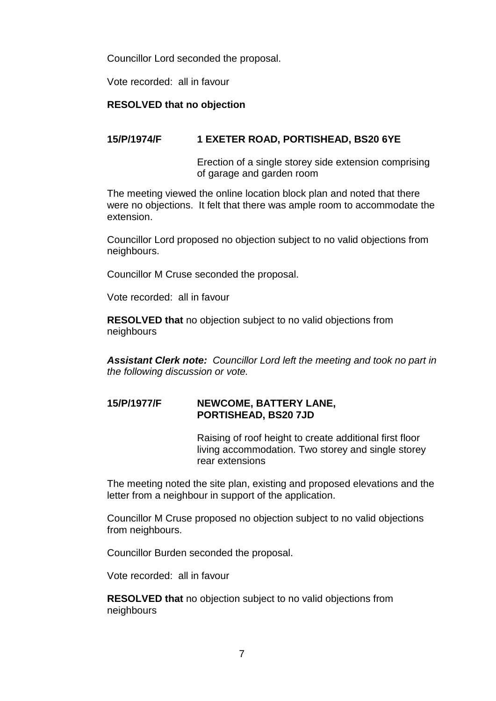Councillor Lord seconded the proposal.

Vote recorded: all in favour

### **RESOLVED that no objection**

## **15/P/1974/F 1 EXETER ROAD, PORTISHEAD, BS20 6YE**

Erection of a single storey side extension comprising of garage and garden room

The meeting viewed the online location block plan and noted that there were no objections. It felt that there was ample room to accommodate the extension.

Councillor Lord proposed no objection subject to no valid objections from neighbours.

Councillor M Cruse seconded the proposal.

Vote recorded: all in favour

**RESOLVED that** no objection subject to no valid objections from neighbours

*Assistant Clerk note: Councillor Lord left the meeting and took no part in the following discussion or vote.*

### **15/P/1977/F NEWCOME, BATTERY LANE, PORTISHEAD, BS20 7JD**

Raising of roof height to create additional first floor living accommodation. Two storey and single storey rear extensions

The meeting noted the site plan, existing and proposed elevations and the letter from a neighbour in support of the application.

Councillor M Cruse proposed no objection subject to no valid objections from neighbours.

Councillor Burden seconded the proposal.

Vote recorded: all in favour

**RESOLVED that** no objection subject to no valid objections from neighbours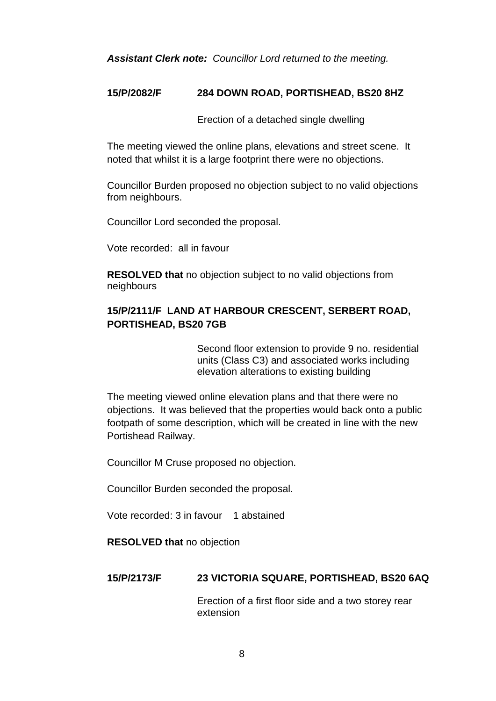*Assistant Clerk note: Councillor Lord returned to the meeting.*

### **15/P/2082/F 284 DOWN ROAD, PORTISHEAD, BS20 8HZ**

Erection of a detached single dwelling

The meeting viewed the online plans, elevations and street scene. It noted that whilst it is a large footprint there were no objections.

Councillor Burden proposed no objection subject to no valid objections from neighbours.

Councillor Lord seconded the proposal.

Vote recorded: all in favour

**RESOLVED that** no objection subject to no valid objections from neighbours

## **15/P/2111/F LAND AT HARBOUR CRESCENT, SERBERT ROAD, PORTISHEAD, BS20 7GB**

Second floor extension to provide 9 no. residential units (Class C3) and associated works including elevation alterations to existing building

The meeting viewed online elevation plans and that there were no objections. It was believed that the properties would back onto a public footpath of some description, which will be created in line with the new Portishead Railway.

Councillor M Cruse proposed no objection.

Councillor Burden seconded the proposal.

Vote recorded: 3 in favour 1 abstained

**RESOLVED that** no objection

### **15/P/2173/F 23 VICTORIA SQUARE, PORTISHEAD, BS20 6AQ**

Erection of a first floor side and a two storey rear extension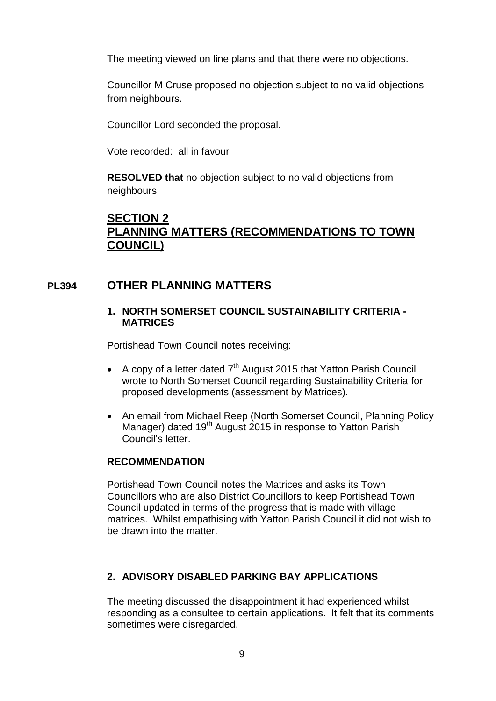The meeting viewed on line plans and that there were no objections.

Councillor M Cruse proposed no objection subject to no valid objections from neighbours.

Councillor Lord seconded the proposal.

Vote recorded: all in favour

**RESOLVED that** no objection subject to no valid objections from neighbours

# **SECTION 2 PLANNING MATTERS (RECOMMENDATIONS TO TOWN COUNCIL)**

## **PL394 OTHER PLANNING MATTERS**

### **1. NORTH SOMERSET COUNCIL SUSTAINABILITY CRITERIA - MATRICES**

Portishead Town Council notes receiving:

- A copy of a letter dated  $7<sup>th</sup>$  August 2015 that Yatton Parish Council wrote to North Somerset Council regarding Sustainability Criteria for proposed developments (assessment by Matrices).
- An email from Michael Reep (North Somerset Council, Planning Policy Manager) dated 19<sup>th</sup> August 2015 in response to Yatton Parish Council's letter.

### **RECOMMENDATION**

Portishead Town Council notes the Matrices and asks its Town Councillors who are also District Councillors to keep Portishead Town Council updated in terms of the progress that is made with village matrices. Whilst empathising with Yatton Parish Council it did not wish to be drawn into the matter.

### **2. ADVISORY DISABLED PARKING BAY APPLICATIONS**

The meeting discussed the disappointment it had experienced whilst responding as a consultee to certain applications. It felt that its comments sometimes were disregarded.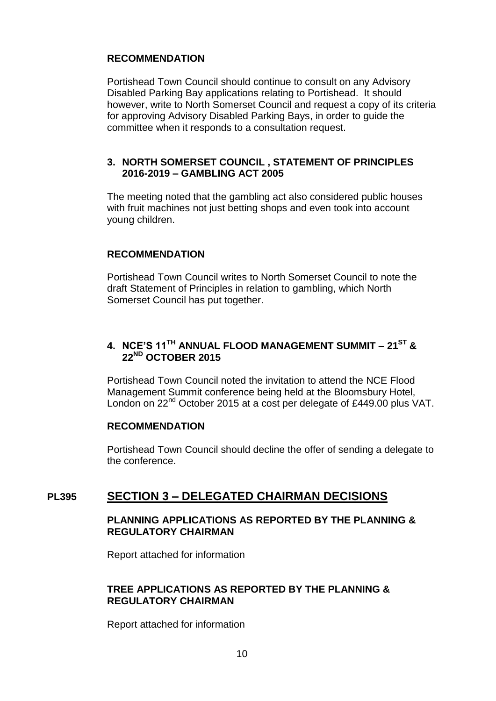## **RECOMMENDATION**

Portishead Town Council should continue to consult on any Advisory Disabled Parking Bay applications relating to Portishead. It should however, write to North Somerset Council and request a copy of its criteria for approving Advisory Disabled Parking Bays, in order to guide the committee when it responds to a consultation request.

## **3. NORTH SOMERSET COUNCIL , STATEMENT OF PRINCIPLES 2016-2019 – GAMBLING ACT 2005**

The meeting noted that the gambling act also considered public houses with fruit machines not just betting shops and even took into account young children.

## **RECOMMENDATION**

Portishead Town Council writes to North Somerset Council to note the draft Statement of Principles in relation to gambling, which North Somerset Council has put together.

## **4. NCE'S 11TH ANNUAL FLOOD MANAGEMENT SUMMIT – 21ST & 22ND OCTOBER 2015**

Portishead Town Council noted the invitation to attend the NCE Flood Management Summit conference being held at the Bloomsbury Hotel, London on 22<sup>nd</sup> October 2015 at a cost per delegate of £449.00 plus VAT.

### **RECOMMENDATION**

Portishead Town Council should decline the offer of sending a delegate to the conference.

## **PL395 SECTION 3 – DELEGATED CHAIRMAN DECISIONS**

### **PLANNING APPLICATIONS AS REPORTED BY THE PLANNING & REGULATORY CHAIRMAN**

Report attached for information

## **TREE APPLICATIONS AS REPORTED BY THE PLANNING & REGULATORY CHAIRMAN**

Report attached for information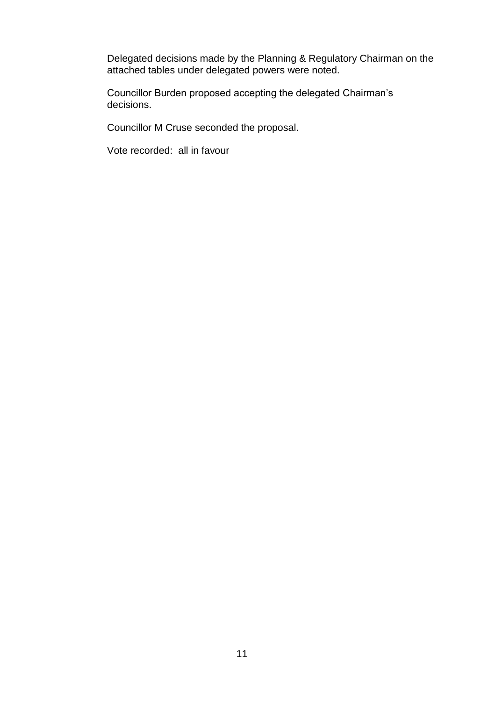Delegated decisions made by the Planning & Regulatory Chairman on the attached tables under delegated powers were noted.

Councillor Burden proposed accepting the delegated Chairman's decisions.

Councillor M Cruse seconded the proposal.

Vote recorded: all in favour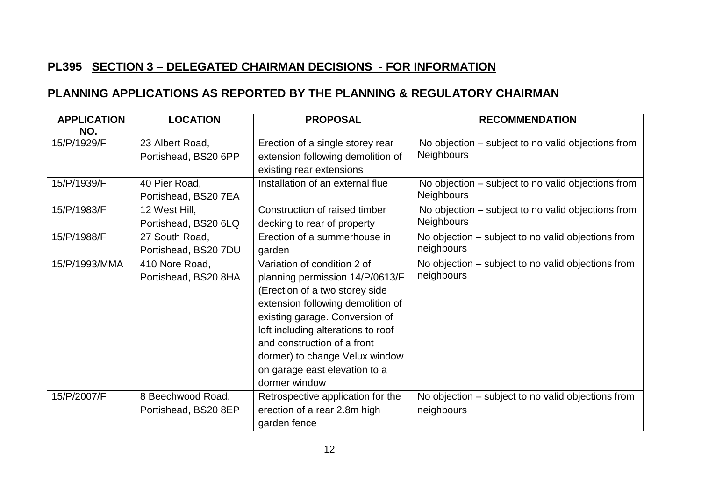# **PL395 SECTION 3 – DELEGATED CHAIRMAN DECISIONS - FOR INFORMATION**

# **PLANNING APPLICATIONS AS REPORTED BY THE PLANNING & REGULATORY CHAIRMAN**

| <b>APPLICATION</b> | <b>LOCATION</b>                           | <b>PROPOSAL</b>                                                                                                                                                                                                                                                                                                                  | <b>RECOMMENDATION</b>                                                   |
|--------------------|-------------------------------------------|----------------------------------------------------------------------------------------------------------------------------------------------------------------------------------------------------------------------------------------------------------------------------------------------------------------------------------|-------------------------------------------------------------------------|
| NO.<br>15/P/1929/F | 23 Albert Road,<br>Portishead, BS20 6PP   | Erection of a single storey rear<br>extension following demolition of<br>existing rear extensions                                                                                                                                                                                                                                | No objection – subject to no valid objections from<br><b>Neighbours</b> |
| 15/P/1939/F        | 40 Pier Road,<br>Portishead, BS20 7EA     | Installation of an external flue                                                                                                                                                                                                                                                                                                 | No objection – subject to no valid objections from<br><b>Neighbours</b> |
| 15/P/1983/F        | 12 West Hill,<br>Portishead, BS20 6LQ     | Construction of raised timber<br>decking to rear of property                                                                                                                                                                                                                                                                     | No objection – subject to no valid objections from<br><b>Neighbours</b> |
| 15/P/1988/F        | 27 South Road,<br>Portishead, BS20 7DU    | Erection of a summerhouse in<br>garden                                                                                                                                                                                                                                                                                           | No objection – subject to no valid objections from<br>neighbours        |
| 15/P/1993/MMA      | 410 Nore Road,<br>Portishead, BS20 8HA    | Variation of condition 2 of<br>planning permission 14/P/0613/F<br>(Erection of a two storey side<br>extension following demolition of<br>existing garage. Conversion of<br>loft including alterations to roof<br>and construction of a front<br>dormer) to change Velux window<br>on garage east elevation to a<br>dormer window | No objection – subject to no valid objections from<br>neighbours        |
| 15/P/2007/F        | 8 Beechwood Road,<br>Portishead, BS20 8EP | Retrospective application for the<br>erection of a rear 2.8m high<br>garden fence                                                                                                                                                                                                                                                | No objection – subject to no valid objections from<br>neighbours        |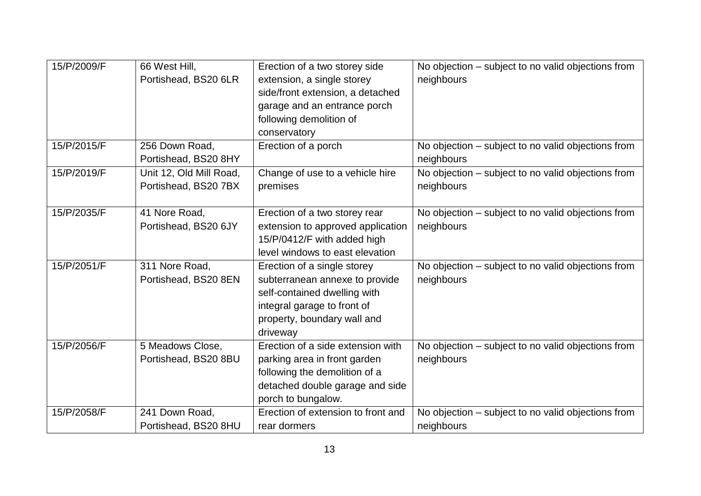| 15/P/2009/F | 66 West Hill,<br>Portishead, BS20 6LR           | Erection of a two storey side<br>extension, a single storey<br>side/front extension, a detached<br>garage and an entrance porch<br>following demolition of<br>conservatory | No objection – subject to no valid objections from<br>neighbours |
|-------------|-------------------------------------------------|----------------------------------------------------------------------------------------------------------------------------------------------------------------------------|------------------------------------------------------------------|
| 15/P/2015/F | 256 Down Road,<br>Portishead, BS20 8HY          | Erection of a porch                                                                                                                                                        | No objection – subject to no valid objections from<br>neighbours |
| 15/P/2019/F | Unit 12, Old Mill Road,<br>Portishead, BS20 7BX | Change of use to a vehicle hire<br>premises                                                                                                                                | No objection – subject to no valid objections from<br>neighbours |
| 15/P/2035/F | 41 Nore Road,<br>Portishead, BS20 6JY           | Erection of a two storey rear<br>extension to approved application<br>15/P/0412/F with added high<br>level windows to east elevation                                       | No objection – subject to no valid objections from<br>neighbours |
| 15/P/2051/F | 311 Nore Road,<br>Portishead, BS20 8EN          | Erection of a single storey<br>subterranean annexe to provide<br>self-contained dwelling with<br>integral garage to front of<br>property, boundary wall and<br>driveway    | No objection – subject to no valid objections from<br>neighbours |
| 15/P/2056/F | 5 Meadows Close,<br>Portishead, BS20 8BU        | Erection of a side extension with<br>parking area in front garden<br>following the demolition of a<br>detached double garage and side<br>porch to bungalow.                | No objection – subject to no valid objections from<br>neighbours |
| 15/P/2058/F | 241 Down Road,<br>Portishead, BS20 8HU          | Erection of extension to front and<br>rear dormers                                                                                                                         | No objection – subject to no valid objections from<br>neighbours |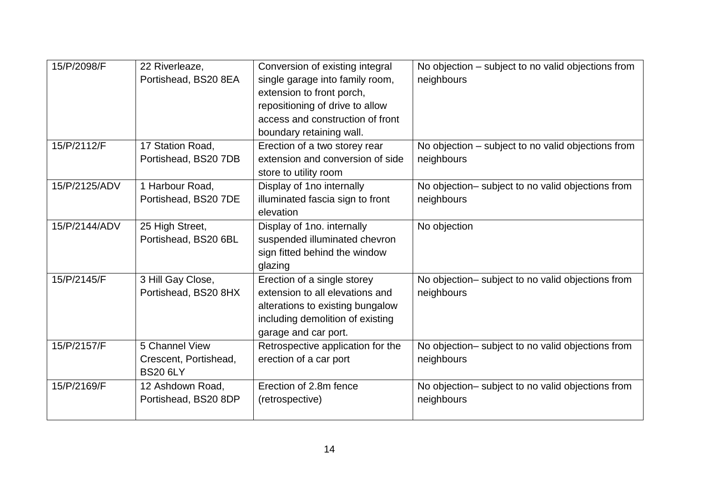| 15/P/2098/F   | 22 Riverleaze,<br>Portishead, BS20 8EA                     | Conversion of existing integral<br>single garage into family room,<br>extension to front porch,<br>repositioning of drive to allow<br>access and construction of front<br>boundary retaining wall. | No objection – subject to no valid objections from<br>neighbours |
|---------------|------------------------------------------------------------|----------------------------------------------------------------------------------------------------------------------------------------------------------------------------------------------------|------------------------------------------------------------------|
| 15/P/2112/F   | 17 Station Road,<br>Portishead, BS20 7DB                   | Erection of a two storey rear<br>extension and conversion of side<br>store to utility room                                                                                                         | No objection – subject to no valid objections from<br>neighbours |
| 15/P/2125/ADV | 1 Harbour Road,<br>Portishead, BS20 7DE                    | Display of 1no internally<br>illuminated fascia sign to front<br>elevation                                                                                                                         | No objection- subject to no valid objections from<br>neighbours  |
| 15/P/2144/ADV | 25 High Street,<br>Portishead, BS20 6BL                    | Display of 1no. internally<br>suspended illuminated chevron<br>sign fitted behind the window<br>glazing                                                                                            | No objection                                                     |
| 15/P/2145/F   | 3 Hill Gay Close,<br>Portishead, BS20 8HX                  | Erection of a single storey<br>extension to all elevations and<br>alterations to existing bungalow<br>including demolition of existing<br>garage and car port.                                     | No objection- subject to no valid objections from<br>neighbours  |
| 15/P/2157/F   | 5 Channel View<br>Crescent, Portishead,<br><b>BS20 6LY</b> | Retrospective application for the<br>erection of a car port                                                                                                                                        | No objection- subject to no valid objections from<br>neighbours  |
| 15/P/2169/F   | 12 Ashdown Road,<br>Portishead, BS20 8DP                   | Erection of 2.8m fence<br>(retrospective)                                                                                                                                                          | No objection- subject to no valid objections from<br>neighbours  |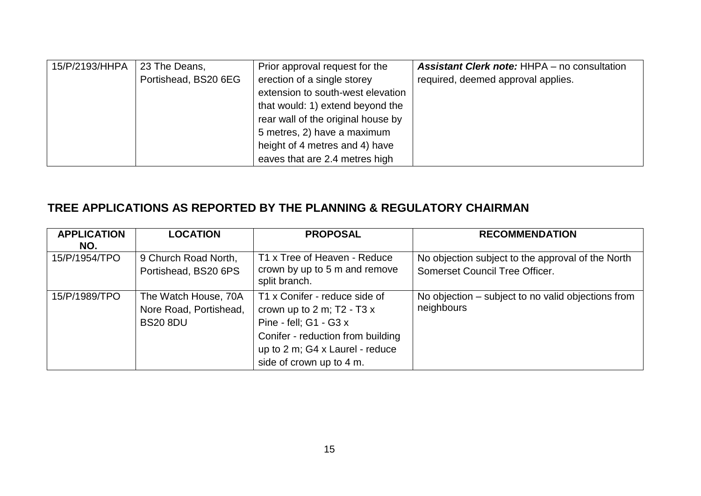| 15/P/2193/HHPA | 23 The Deans,        | Prior approval request for the     | <b>Assistant Clerk note: HHPA – no consultation</b> |
|----------------|----------------------|------------------------------------|-----------------------------------------------------|
|                | Portishead, BS20 6EG | erection of a single storey        | required, deemed approval applies.                  |
|                |                      | extension to south-west elevation  |                                                     |
|                |                      | that would: 1) extend beyond the   |                                                     |
|                |                      | rear wall of the original house by |                                                     |
|                |                      | 5 metres, 2) have a maximum        |                                                     |
|                |                      | height of 4 metres and 4) have     |                                                     |
|                |                      | eaves that are 2.4 metres high     |                                                     |

# **TREE APPLICATIONS AS REPORTED BY THE PLANNING & REGULATORY CHAIRMAN**

| <b>APPLICATION</b> | <b>LOCATION</b>                                                   | <b>PROPOSAL</b>                                                                                                                                                                                        | <b>RECOMMENDATION</b>                                            |
|--------------------|-------------------------------------------------------------------|--------------------------------------------------------------------------------------------------------------------------------------------------------------------------------------------------------|------------------------------------------------------------------|
| NO.                |                                                                   |                                                                                                                                                                                                        |                                                                  |
| 15/P/1954/TPO      | 9 Church Road North,                                              | T1 x Tree of Heaven - Reduce                                                                                                                                                                           | No objection subject to the approval of the North                |
|                    | Portishead, BS20 6PS                                              | crown by up to 5 m and remove<br>split branch.                                                                                                                                                         | Somerset Council Tree Officer.                                   |
| 15/P/1989/TPO      | The Watch House, 70A<br>Nore Road, Portishead,<br><b>BS20 8DU</b> | T1 x Conifer - reduce side of<br>crown up to $2 \text{ m}$ ; T2 - T3 $x$<br>Pine - fell; G1 - G3 x<br>Conifer - reduction from building<br>up to 2 m; G4 x Laurel - reduce<br>side of crown up to 4 m. | No objection – subject to no valid objections from<br>neighbours |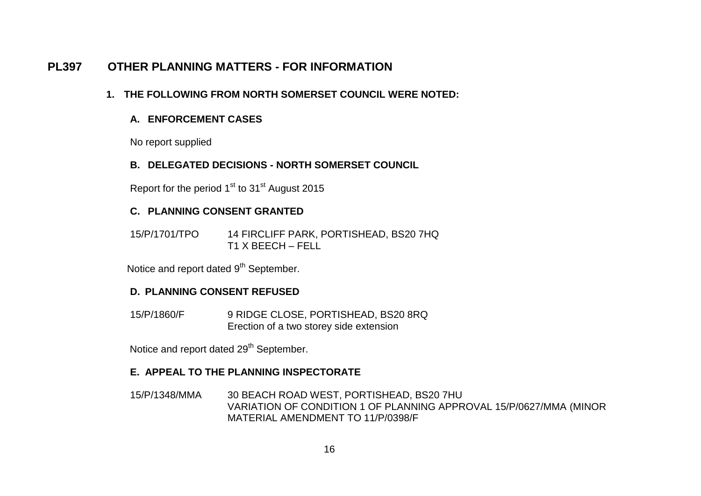# **PL397 OTHER PLANNING MATTERS - FOR INFORMATION**

## **1. THE FOLLOWING FROM NORTH SOMERSET COUNCIL WERE NOTED:**

## **A. ENFORCEMENT CASES**

No report supplied

### **B. DELEGATED DECISIONS - NORTH SOMERSET COUNCIL**

Report for the period  $1<sup>st</sup>$  to  $31<sup>st</sup>$  August 2015

### **C. PLANNING CONSENT GRANTED**

15/P/1701/TPO 14 FIRCLIFF PARK, PORTISHEAD, BS20 7HQ T1 X BEECH – FELL

Notice and report dated 9<sup>th</sup> September.

### **D. PLANNING CONSENT REFUSED**

15/P/1860/F 9 RIDGE CLOSE, PORTISHEAD, BS20 8RQ Erection of a two storey side extension

Notice and report dated 29<sup>th</sup> September.

### **E. APPEAL TO THE PLANNING INSPECTORATE**

15/P/1348/MMA 30 BEACH ROAD WEST, PORTISHEAD, BS20 7HU VARIATION OF CONDITION 1 OF PLANNING APPROVAL 15/P/0627/MMA (MINOR MATERIAL AMENDMENT TO 11/P/0398/F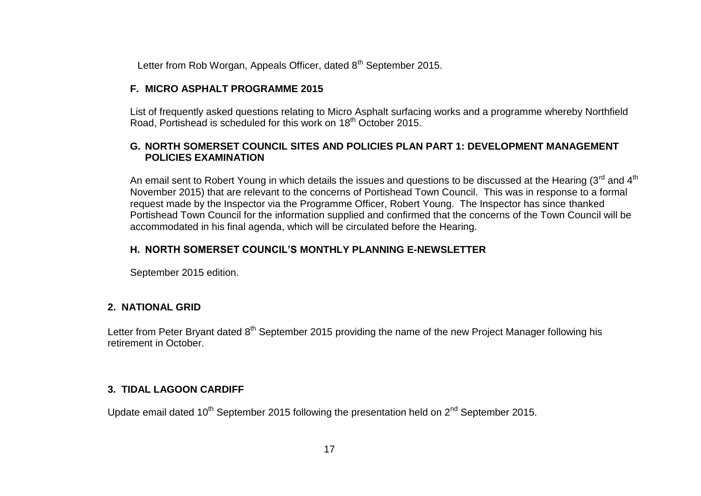Letter from Rob Worgan, Appeals Officer, dated 8<sup>th</sup> September 2015.

### **F. MICRO ASPHALT PROGRAMME 2015**

List of frequently asked questions relating to Micro Asphalt surfacing works and a programme whereby Northfield Road, Portishead is scheduled for this work on 18<sup>th</sup> October 2015.

## **G. NORTH SOMERSET COUNCIL SITES AND POLICIES PLAN PART 1: DEVELOPMENT MANAGEMENT POLICIES EXAMINATION**

An email sent to Robert Young in which details the issues and questions to be discussed at the Hearing ( $3^{rd}$  and  $4^{th}$ ) November 2015) that are relevant to the concerns of Portishead Town Council. This was in response to a formal request made by the Inspector via the Programme Officer, Robert Young. The Inspector has since thanked Portishead Town Council for the information supplied and confirmed that the concerns of the Town Council will be accommodated in his final agenda, which will be circulated before the Hearing.

## **H. NORTH SOMERSET COUNCIL'S MONTHLY PLANNING E-NEWSLETTER**

September 2015 edition.

## **2. NATIONAL GRID**

Letter from Peter Bryant dated 8<sup>th</sup> September 2015 providing the name of the new Project Manager following his retirement in October.

## **3. TIDAL LAGOON CARDIFF**

Update email dated  $10^{th}$  September 2015 following the presentation held on  $2^{nd}$  September 2015.